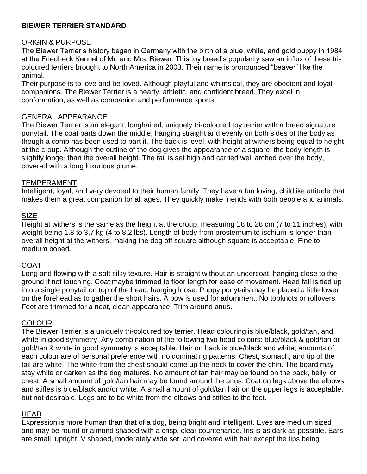## **BIEWER TERRIER STANDARD**

### ORIGIN & PURPOSE

The Biewer Terrier's history began in Germany with the birth of a blue, white, and gold puppy in 1984 at the Friedheck Kennel of Mr. and Mrs. Biewer. This toy breed's popularity saw an influx of these tricoloured terriers brought to North America in 2003. Their name is pronounced "beaver" like the animal.

Their purpose is to love and be loved. Although playful and whimsical, they are obedient and loyal companions. The Biewer Terrier is a hearty, athletic, and confident breed. They excel in conformation, as well as companion and performance sports.

### GENERAL APPEARANCE

The Biewer Terrier is an elegant, longhaired, uniquely tri-coloured toy terrier with a breed signature ponytail. The coat parts down the middle, hanging straight and evenly on both sides of the body as though a comb has been used to part it. The back is level, with height at withers being equal to height at the croup. Although the outline of the dog gives the appearance of a square, the body length is slightly longer than the overall height. The tail is set high and carried well arched over the body, covered with a long luxurious plume.

#### TEMPERAMENT

Intelligent, loyal, and very devoted to their human family. They have a fun loving, childlike attitude that makes them a great companion for all ages. They quickly make friends with both people and animals.

#### SIZE

Height at withers is the same as the height at the croup, measuring 18 to 28 cm (7 to 11 inches), with weight being 1.8 to 3.7 kg (4 to 8.2 lbs). Length of body from prosternum to ischium is longer than overall height at the withers, making the dog off square although square is acceptable. Fine to medium boned.

### COAT

Long and flowing with a soft silky texture. Hair is straight without an undercoat, hanging close to the ground if not touching. Coat maybe trimmed to floor length for ease of movement. Head fall is tied up into a single ponytail on top of the head, hanging loose. Puppy ponytails may be placed a little lower on the forehead as to gather the short hairs. A bow is used for adornment. No topknots or rollovers. Feet are trimmed for a neat, clean appearance. Trim around anus.

### **COLOUR**

The Biewer Terrier is a uniquely tri-coloured toy terrier. Head colouring is blue/black, gold/tan, and white in good symmetry. Any combination of the following two head colours: blue/black & gold/tan or gold/tan & white in good symmetry is acceptable. Hair on back is blue/black and white; amounts of each colour are of personal preference with no dominating patterns. Chest, stomach, and tip of the tail are white. The white from the chest should come up the neck to cover the chin. The beard may stay white or darken as the dog matures. No amount of tan hair may be found on the back, belly, or chest. A small amount of gold/tan hair may be found around the anus. Coat on legs above the elbows and stifles is blue/black and/or white. A small amount of gold/tan hair on the upper legs is acceptable, but not desirable. Legs are to be white from the elbows and stifles to the feet.

### HEAD

Expression is more human than that of a dog, being bright and intelligent. Eyes are medium sized and may be round or almond shaped with a crisp, clear countenance. Iris is as dark as possible. Ears are small, upright, V shaped, moderately wide set, and covered with hair except the tips being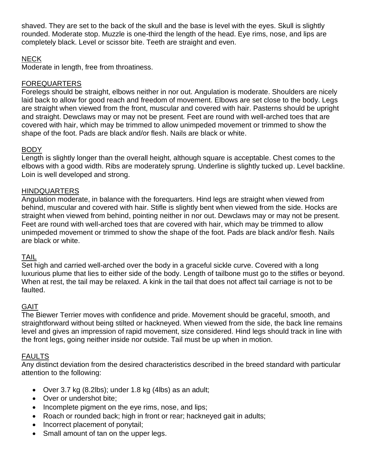shaved. They are set to the back of the skull and the base is level with the eyes. Skull is slightly rounded. Moderate stop. Muzzle is one-third the length of the head. Eye rims, nose, and lips are completely black. Level or scissor bite. Teeth are straight and even.

# NECK

Moderate in length, free from throatiness.

## FOREQUARTERS

Forelegs should be straight, elbows neither in nor out. Angulation is moderate. Shoulders are nicely laid back to allow for good reach and freedom of movement. Elbows are set close to the body. Legs are straight when viewed from the front, muscular and covered with hair. Pasterns should be upright and straight. Dewclaws may or may not be present*.* Feet are round with well-arched toes that are covered with hair, which may be trimmed to allow unimpeded movement or trimmed to show the shape of the foot. Pads are black and/or flesh. Nails are black or white.

# BODY

Length is slightly longer than the overall height, although square is acceptable. Chest comes to the elbows with a good width. Ribs are moderately sprung. Underline is slightly tucked up. Level backline. Loin is well developed and strong.

### HINDQUARTERS

Angulation moderate, in balance with the forequarters. Hind legs are straight when viewed from behind, muscular and covered with hair. Stifle is slightly bent when viewed from the side. Hocks are straight when viewed from behind, pointing neither in nor out. Dewclaws may or may not be present. Feet are round with well-arched toes that are covered with hair, which may be trimmed to allow unimpeded movement or trimmed to show the shape of the foot. Pads are black and/or flesh. Nails are black or white.

### TAIL

Set high and carried well-arched over the body in a graceful sickle curve. Covered with a long luxurious plume that lies to either side of the body. Length of tailbone must go to the stifles or beyond. When at rest, the tail may be relaxed. A kink in the tail that does not affect tail carriage is not to be faulted.

### GAIT

The Biewer Terrier moves with confidence and pride. Movement should be graceful, smooth, and straightforward without being stilted or hackneyed. When viewed from the side, the back line remains level and gives an impression of rapid movement, size considered. Hind legs should track in line with the front legs, going neither inside nor outside. Tail must be up when in motion.

### FAULTS

Any distinct deviation from the desired characteristics described in the breed standard with particular attention to the following:

- Over 3.7 kg (8.2lbs); under 1.8 kg (4lbs) as an adult;
- Over or undershot bite;
- Incomplete pigment on the eye rims, nose, and lips;
- Roach or rounded back; high in front or rear; hackneyed gait in adults;
- Incorrect placement of ponytail;
- Small amount of tan on the upper legs.